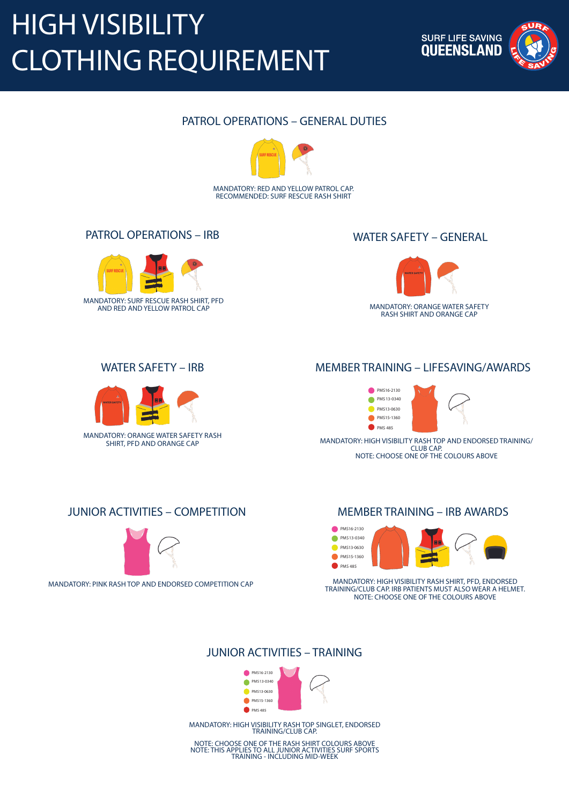MANDATORY: RED AND YELLOW PATROL CAP. RECOMMENDED: SURF RESCUE RASH SHIRT

### PATROL OPERATIONS – GENERAL DUTIES



### WATER SAFETY – GENERAL





### PATROL OPERATIONS – IRB

MANDATORY: ORANGE WATER SAFETY RASH SHIRT, PFD AND ORANGE CAP

### WATER SAFETY – IRB



MANDATORY: HIGH VISIBILITY RASH TOP AND ENDORSED TRAINING/ CLUB CAP. NOTE: CHOOSE ONE OF THE COLOURS ABOVE



### MEMBER TRAINING – LIFESAVING/AWARDS

#### MANDATORY: HIGH VISIBILITY RASH TOP SINGLET, ENDORSED TRAINING/CLUB CAP.

NOTE: CHOOSE ONE OF THE RASH SHIRT COLOURS ABOVE NOTE: THIS APPLIES TO ALL JUNIOR ACTIVITIES SURF SPORTS TRAINING - INCLUDING MID-WEEK





MANDATORY: PINK RASH TOP AND ENDORSED COMPETITION CAP

### JUNIOR ACTIVITIES – COMPETITION



MANDATORY: HIGH VISIBILITY RASH SHIRT, PFD, ENDORSED TRAINING/CLUB CAP. IRB PATIENTS MUST ALSO WEAR A HELMET. NOTE: CHOOSE ONE OF THE COLOURS ABOVE



### MEMBER TRAINING – IRB AWARDS

# HIGH VISIBILITY CLOTHING REQUIREMENT